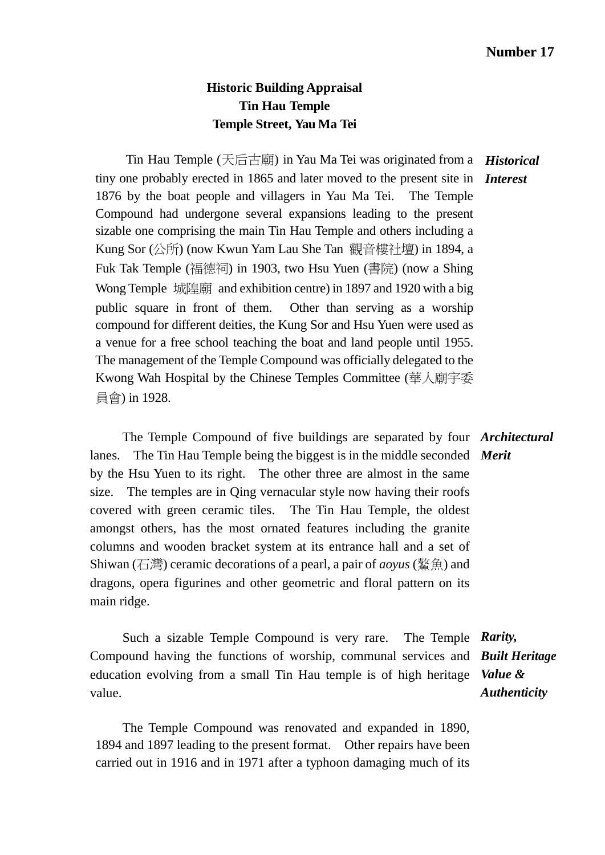## **Number 17**

## **Historic Building Appraisal Tin Hau Temple Temple Street, Yau Ma Tei**

Tin Hau Temple (天后古廟) in Yau Ma Tei was originated from a *Historical*  tiny one probably erected in 1865 and later moved to the present site in *Interest*  1876 by the boat people and villagers in Yau Ma Tei. The Temple Compound had undergone several expansions leading to the present sizable one comprising the main Tin Hau Temple and others including a Kung Sor (公所) (now Kwun Yam Lau She Tan 觀音樓社壇) in 1894, a Fuk Tak Temple (福德祠) in 1903, two Hsu Yuen (書院) (now a Shing Wong Temple 城隍廟 and exhibition centre) in 1897 and 1920 with a big public square in front of them. Other than serving as a worship compound for different deities, the Kung Sor and Hsu Yuen were used as a venue for a free school teaching the boat and land people until 1955. The management of the Temple Compound was officially delegated to the Kwong Wah Hospital by the Chinese Temples Committee (華人廟宇委 員會) in 1928.

The Temple Compound of five buildings are separated by four *Architectural*  lanes. The Tin Hau Temple being the biggest is in the middle seconded *Merit*  by the Hsu Yuen to its right. The other three are almost in the same size. The temples are in Qing vernacular style now having their roofs covered with green ceramic tiles. The Tin Hau Temple, the oldest amongst others, has the most ornated features including the granite columns and wooden bracket system at its entrance hall and a set of Shiwan (石灣) ceramic decorations of a pearl, a pair of *aoyus* (鰲魚) and dragons, opera figurines and other geometric and floral pattern on its main ridge.

Such a sizable Temple Compound is very rare. The Temple *Rarity,*  Compound having the functions of worship, communal services and *Built Heritage*  education evolving from a small Tin Hau temple is of high heritage *Value &*  value.

*Authenticity* 

The Temple Compound was renovated and expanded in 1890, 1894 and 1897 leading to the present format. Other repairs have been carried out in 1916 and in 1971 after a typhoon damaging much of its